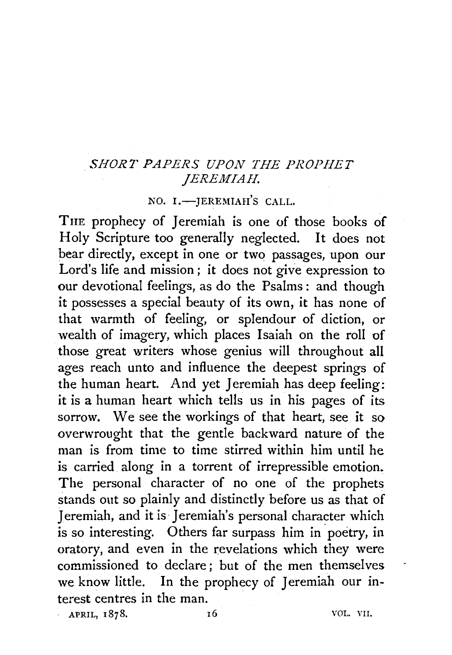## *SHORT PAPERS UPON THE PROPHET JEREMIAH.*

## NO. I.-IEREMIAH'S CALL.

THE prophecy of Jeremiah is one of those books of Holy Scripture too generally neglected. It does not bear directly, except in one or two passages, upon our Lord's life and mission; it does not give expression to our devotional feelings, as do the Psalms : and though it possesses a special beauty of its own, it has none of that warmth of feeling, or splendour of diction, or wealth of imagery, which places Isaiah on the roll of those great writers whose genius will throughout all ages reach unto and influence the deepest springs of the human heart. And yet Jeremiah has deep feeling: it is a human heart which tells us in his pages of its sorrow. We see the workings of that heart, see it so overwrought that the gentle backward nature of the man is from time to time stirred within him until he is carried along in a torrent of irrepressible emotion. The personal character of no one of the prophets stands out so plainly and distinctly before us as that of Jeremiah, and it is Jeremiah's personal character which is so interesting. Others far surpass him in poetry, in oratory, and even in the revelations which they were commissioned to declare; but of the men themselves we know little. In the prophecy of Jeremiah our interest centres in the man.

APRIL, 1878. 16 VOL. VII.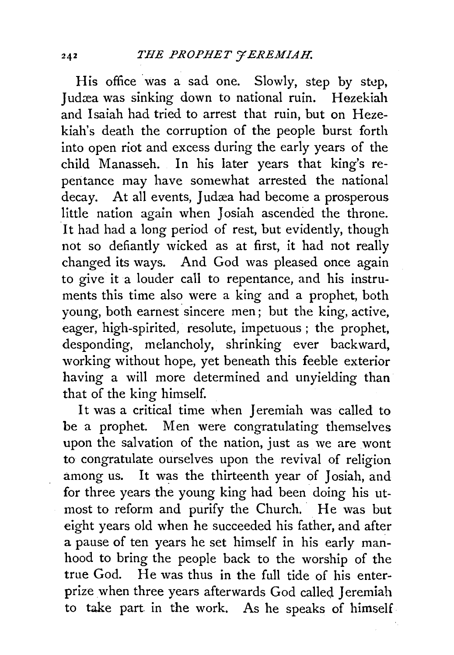His office was a sad one. Slowly, step by step, Judæa was sinking down to national ruin. Hezekiah and Isaiah had tried to arrest that ruin, but on Hezekiah's death the corruption of the people burst forth into open riot and excess during the early years of the child Manasseh. In his later years that king's repentance may have somewhat arrested the national decay. At all events, Judæa had become a prosperous little nation again when Josiah ascended the throne. It had had a long period of rest, but evidently, though not so defiantly wicked as at first, it had not really changed its ways. And God was pleased once again to give it a louder call to repentance, and his instruments this time also were a king and a prophet, both young, both earnest sincere men; but the king, active, eager, high-spirited, resolute, impetuous ; the prophet, desponding, melancholy, shrinking ever backward, working without hope, yet beneath this feeble exterior having a will more determined and unyielding than that of the king himself.

It was a critical time when Jeremiah was called to be a prophet. Men were congratulating themselves upon the salvation of the nation, just as we are wont to congratulate ourselves upon the revival of religion among us. It was the thirteenth year of Josiah, and for three years the young king had been doing his utmost to reform and purify the Church. He was but eight years old when he succeeded his father, and after a pause of ten years he set himself in his early manhood to bring the people back to the worship of the true God. He was thus in the full tide of his enterprize when three years afterwards God called Jeremiah to take part in the work. As he speaks of himself.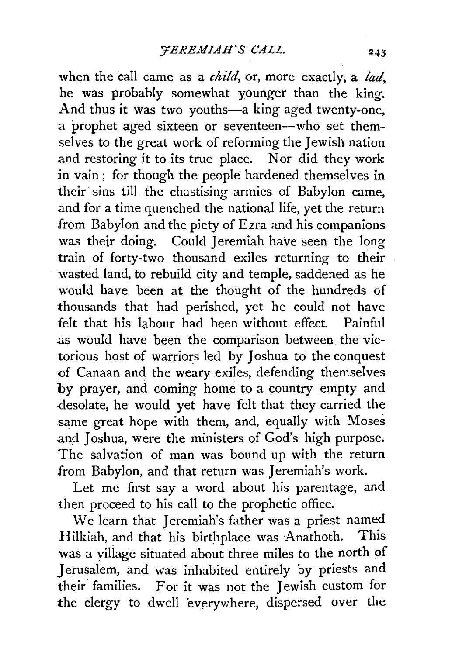when the call came as a *child,* or, more exactly, a *lad,*  he was probably somewhat younger than the king. And thus it was two youths-a king aged twenty-one, a prophet aged sixteen or seventeen-who set themselves to the great work of reforming the Jewish nation and restoring it to its true place. Nor did they work in vain; for though the people hardened themselves in their sins till the chastising armies of Babylon came, and for a time quenched the national life, yet the return from Babylon and the piety of Ezra and his companions was their doing. Could Jeremiah have seen the long train of forty-two thousand exiles returning to their wasted land, to rebuild city and temple, saddened as he would have been at the thought of the hundreds of thousands that had perished, yet he could not have felt that his labour had been without effect. Painful as would have been the comparison between. the victorious host of warriors led by Joshua to the conquest of Canaan and the weary exiles, defending themselves by prayer, and coming home to a country empty and desolate, he would yet have felt that they carried the same great hope with them, and, equally with Moses and Joshua, were the ministers of God's high purpose. The salvation of man was bound up with the return from Babylon, and that return was Jeremiah's work.

Let me first say a word about his parentage, and then proceed to his call to the prophetic office.

We learn that Jeremiah's father was a priest named Hilkiah, and that his birthplace was Anathoth. This was a yiliage situated about three miles to the north of Jerusalem, and was inhabited entirely by priests and their families. For it was not the Jewish custom for the clergy to dwell 'everywhere, dispersed over the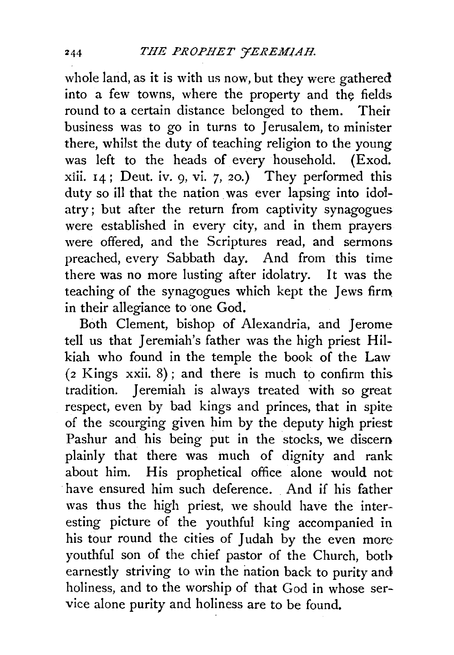whole land, as it is with us now, but they were gathered into a few towns, where the property and the fields round to a certain distance belonged to them. Their business was to go in turns to Jerusalem, to minister there, whilst the duty of teaching religion to the young was left to the heads of every household. (Exod. xiii.  $14$ ; Deut. iv. 9, vi. 7, 20.) They performed this duty so ill that the nation was ever lapsing into idolatry; but after the return from captivity synagogues were established in every city, and in them prayers were offered, and the Scriptures read, and sermons preached, every Sabbath day. And from this time there was no more lusting after idolatry. It was the teaching of the synagogues which kept the Jews firm in their allegiance to one God.

Both Clement, bishop of Alexandria, and Jerome tell us that Jeremiah's father was the high priest Hilkiah who found in the temple the book of the Law  $(2$  Kings xxii. 8); and there is much to confirm this tradition. Jeremiah is always treated with so great respect, even by bad kings and princes, that in spite of the scourging given him by the deputy high priest Pashur and his being put in the stocks, we discern plainly that there was much of dignity and rank about him. His prophetical office alone would not have ensured him such deference. And if his father was thus the high priest, we should have the interesting picture of the youthful king accompanied in his tour round the cities of Judah by the even more youthful son of the chief pastor of the Church, both earnestly striving to win the nation back to purity and holiness, and to the worship of that God in whose service alone purity and holiness are to be found.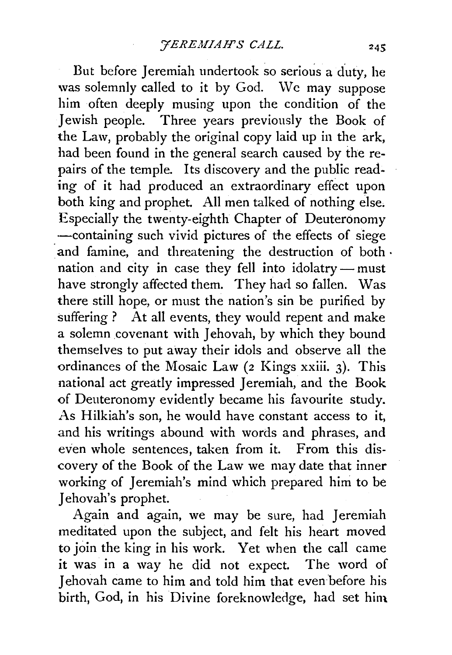But before Jeremiah undertook so serious a duty, he was solemnly called to it by God. We may suppose him often deeply musing upon the condition of the Jewish people. Three years previously the Book of the Law, probably the original copy laid up in the ark, had been found in the general search caused by the repairs of the temple. Its discovery and the public reading of it had produced an extraordinary effect upon both king and prophet. All men talked of nothing else. Especially the twenty-eighth Chapter of Deuteronomy -containing such vivid pictures of the effects of siege and famine, and threatening the destruction of both . nation and city in case they fell into idolatry - must have strongly affected them. They had so fallen. Was there still hope, or must the nation's sin be purified by suffering ? At all events, they would repent and make a solemn covenant with Jehovah, by which they bound themselves to put away their idols and observe all the ordinances of the Mosaic Law (2 Kings xxiii. 3). This national act greatly impressed Jeremiah, and the Book of Deuteronomy evidently became his favourite study. As Hilkiah's son, he would have constant access to it, and his writings abound with words and phrases, and even whole sentences, taken from it. From this discovery of the Book of the Law we may date that inner working of Jeremiah's mind which prepared him to be Jehovah's prophet.

Again and again, we may be sure, had Jeremiah meditated upon the subject, and felt his heart moved to join the king in his work. Yet when the call came it was in a way he did not expect. The word of Jehovah came to him and told him that even before his birth, God, in his Divine foreknowledge, had set him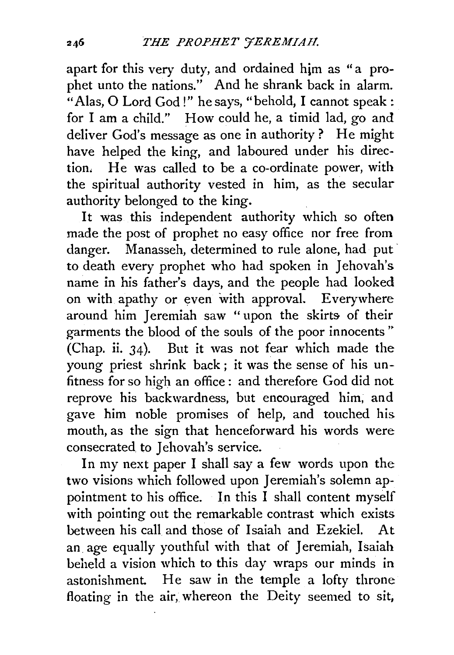apart for this very duty, and ordained him as "a prophet unto the nations." And he shrank back in alarm. "Alas, O Lord God!" he says, "behold, I cannot speak : for I am a child." How could he, a timid lad, go and deliver God's message as one in authority? He might have helped the king, and laboured under his direction. He was called to be a co-ordinate power, with the spiritual authority vested in him, as the secular authority belonged to the king.

It was this independent authority which so often made the post of prophet no easy office nor free from danger. Manasseh, determined to rule alone, had put to death every prophet who had spoken in Jehovah's name in his father's days, and the people had looked on with apathy or even with approval. Everywhere around him Jeremiah saw "upon the skirts of their garments the blood of the souls of the poor innocents " (Chap. ii. 34). But it was not fear which made the young priest shrink back; it was the sense of his unfitness for so high an office : and therefore God did not reprove his backwardness, but encouraged him; and gave him noble promises of help, and touched his mouth, as the sign that henceforward his words were consecrated to Jehovah's service.

In my next paper I shall say a few words upon the two visions which followed upon Jeremiah's solemn appointment to his office. In this I shall content myself with pointing out the remarkable contrast which exists between his call and those of Isaiah and Ezekiel. At an. age equally youthful with that of Jeremiah, Isaiah beheld a vision which to this day wraps our minds in astonishment. He saw in the temple a lofty throne floating in the air, whereon the Deity seemed to sit.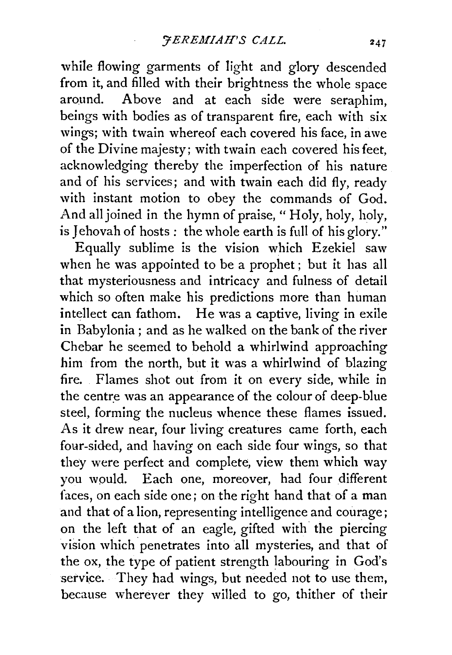while flowing garments of light and glory descended from it, and filled with their brightness the whole space around. Above and at each side were seraphim, beings with bodies as of transparent fire, each with six wings; with twain whereof each covered his face, in awe of the Divine majesty; with twain each covered his feet, acknowledging thereby the imperfection of his nature and of his services; and with twain each did fly, ready with instant motion to obey the commands of God. And all joined in the hymn of praise, " Holy, holy, holy, is Jehovah of hosts : the whole earth is full of his glory."

Equally sublime is the vision which Ezekiel saw when he was appointed to be a prophet; but it has all that mysteriousness and intricacy and fulness of detail which so often make his predictions more than human intellect can fathom. He was a captive, living in exile in Babylonia ; and as he walked on the bank of the river Chebar he seemed to behold a whirlwind approaching him from the north, but it was a whirlwind of blazing fire. Flames shot out from it on every side, while in the centre was an appearance of the colour of deep-blue steel, forming the nucleus whence these flames issued. As it drew near, four living creatures came forth, each four-sided, and having on each side four wings, so that they were perfect and complete, view them which way you would. Each one, moreover, had four different faces, on each side one; on the right hand that of a man and that of a lion, representing intelligence and courage; on the left that of an eagle, gifted with the piercing vision which penetrates into all mysteries, and that of the ox, the type of patient strength labouring in God's service. They had wings, but needed not to use them, because wherever they willed to go, thither of their